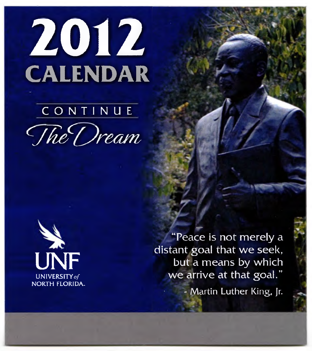

## **CONTINUE** *The Dream*



"Peace is not merely a distant goal that we seek, but a means by which we arrive at that goal." - Martin Luther King. Jr.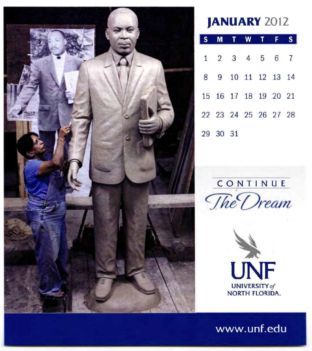

**JANUARY** 2012

| SMTWTFS                     |  |  |  |
|-----------------------------|--|--|--|
| $1 \t2 \t3 \t4 \t5 \t6 \t7$ |  |  |  |
| 8 9 10 11 12 13 14          |  |  |  |
| 15 16 17 18 19 20 21        |  |  |  |
| 22 23 24 25 26 27 28        |  |  |  |
| 29 30 31                    |  |  |  |



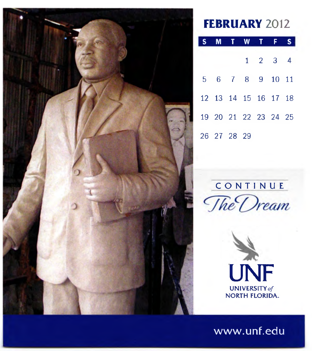

#### **FEBRUARY** 2012

|             | S M T W T F S        |                             |  |
|-------------|----------------------|-----------------------------|--|
|             |                      | $1 \quad 2 \quad 3 \quad 4$ |  |
|             | 5 6 7 8 9 10 11      |                             |  |
|             | 12 13 14 15 16 17 18 |                             |  |
|             | 19 20 21 22 23 24 25 |                             |  |
| 26 27 28 29 |                      |                             |  |

## CONTINUE The Dream

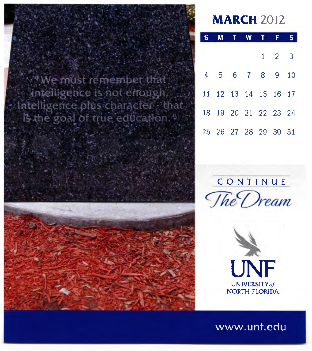



|  |                      | <b>MTWTF</b> |  |                     |  |
|--|----------------------|--------------|--|---------------------|--|
|  |                      |              |  | $1 \quad 2 \quad 3$ |  |
|  | 4 5 6 7 8 9 10       |              |  |                     |  |
|  | 11 12 13 14 15 16 17 |              |  |                     |  |
|  | 18 19 20 21 22 23 24 |              |  |                     |  |
|  | 25 26 27 28 29 30 31 |              |  |                     |  |



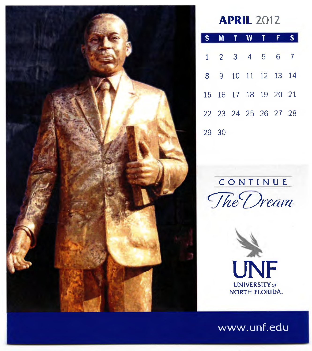

#### **APRIL** 2012

|       | S M T W T F S               |  |  |
|-------|-----------------------------|--|--|
|       | $1 \t2 \t3 \t4 \t5 \t6 \t7$ |  |  |
|       | 8 9 10 11 12 13 14          |  |  |
|       | 15 16 17 18 19 20 21        |  |  |
|       | 22 23 24 25 26 27 28        |  |  |
| 29 30 |                             |  |  |

## CONTINUE *The Dream*

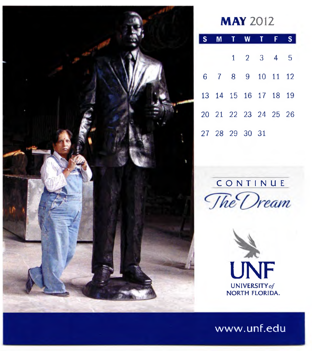

#### **MAY** 2012

|  |  | S M T W T F          |  |  |
|--|--|----------------------|--|--|
|  |  | $1 \t2 \t3 \t4 \t5$  |  |  |
|  |  | 6 7 8 9 10 11 12     |  |  |
|  |  | 13 14 15 16 17 18 19 |  |  |
|  |  | 20 21 22 23 24 25 26 |  |  |
|  |  | 27 28 29 30 31       |  |  |



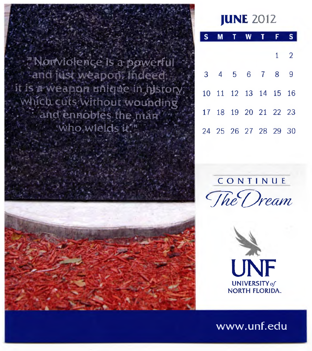" Nonviolence is a powerful<br>`and just weapon: Indeed it is a weapon unique in history; which cuts without wounding  $\cdot$  and ennobles the man  $\cdots$  who wields it."



|  |                      | M T W | $\mathbf{T}$ | F. |            |
|--|----------------------|-------|--------------|----|------------|
|  |                      |       |              |    | $1\quad 2$ |
|  | 3 4 5 6 7 8 9        |       |              |    |            |
|  | 10 11 12 13 14 15 16 |       |              |    |            |
|  | 17 18 19 20 21 22 23 |       |              |    |            |
|  | 24 25 26 27 28 29 30 |       |              |    |            |



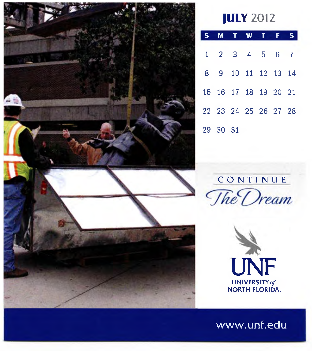

#### **JULY** 2012

|  |          | S M T W T F S               |  |  |
|--|----------|-----------------------------|--|--|
|  |          | $1 \t2 \t3 \t4 \t5 \t6 \t7$ |  |  |
|  |          | 8 9 10 11 12 13 14          |  |  |
|  |          | 15 16 17 18 19 20 21        |  |  |
|  |          | 22 23 24 25 26 27 28        |  |  |
|  | 29 30 31 |                             |  |  |

CONTINUE<br>The Dream

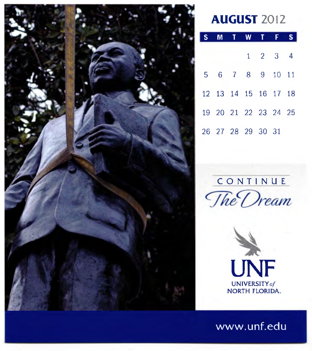

#### **AUGUST** 2012

|  |  | S M T W T F S               |  |
|--|--|-----------------------------|--|
|  |  | $1 \quad 2 \quad 3 \quad 4$ |  |
|  |  | 5 6 7 8 9 10 11             |  |
|  |  | 12 13 14 15 16 17 18        |  |
|  |  | 19 20 21 22 23 24 25        |  |
|  |  | 26 27 28 29 30 31           |  |

# CONTINUE<br>The Dream

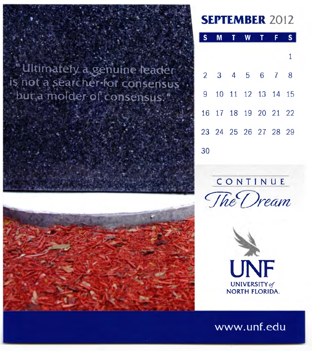

#### **SEPTEMBER** 2012

|    | S M T W T F          |  |  |              |
|----|----------------------|--|--|--------------|
|    |                      |  |  | $\mathbf{1}$ |
|    | 2 3 4 5 6 7 8        |  |  |              |
|    | 9 10 11 12 13 14 15  |  |  |              |
|    | 16 17 18 19 20 21 22 |  |  |              |
|    | 23 24 25 26 27 28 29 |  |  |              |
| 30 |                      |  |  |              |



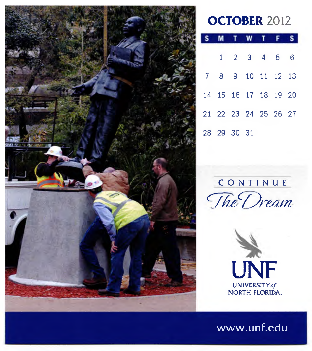

#### **OCTOBER** 2012

|  |             | <b>MTWT</b>                |  |
|--|-------------|----------------------------|--|
|  |             | $1 \t2 \t3 \t4 \t5 \t6$    |  |
|  |             | 7 8 9 10 11 12 13          |  |
|  |             | 14  15  16  17  18  19  20 |  |
|  |             | 21 22 23 24 25 26 27       |  |
|  | 28 29 30 31 |                            |  |

### CONTINU <sup>E</sup> *The Dream*

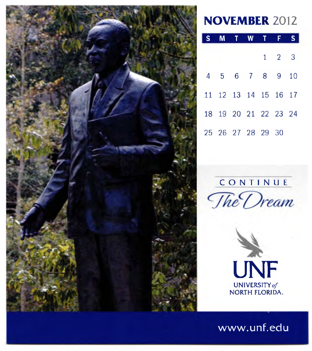

#### **NOVEMBER** 2012

|  | S M T W T F S        |  |                     |  |
|--|----------------------|--|---------------------|--|
|  |                      |  | $1 \quad 2 \quad 3$ |  |
|  | 4 5 6 7 8 9 10       |  |                     |  |
|  | 11 12 13 14 15 16 17 |  |                     |  |
|  | 18 19 20 21 22 23 24 |  |                     |  |
|  | 25 26 27 28 29 30    |  |                     |  |

#### **CONTINUE**



UNF UNIVERSITY*of* NORTH FLORIDA.